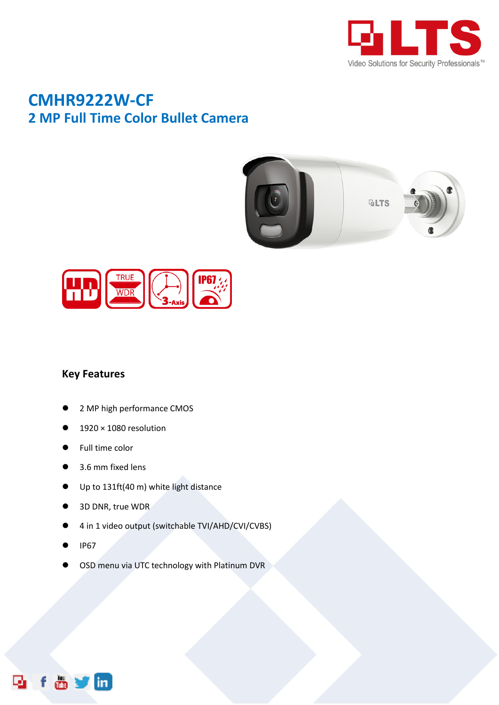

## **CMHR9222W-CF 2 MP Full Time Color Bullet Camera**





## **Key Features**

- 2 MP high performance CMOS
- 1920 × 1080 resolution
- Full time color
- 3.6 mm fixed lens
- Up to 131ft(40 m) white light distance
- 3D DNR, true WDR
- 4 in 1 video output (switchable TVI/AHD/CVI/CVBS)
- IP67

m.

OSD menu via UTC technology with Platinum DVR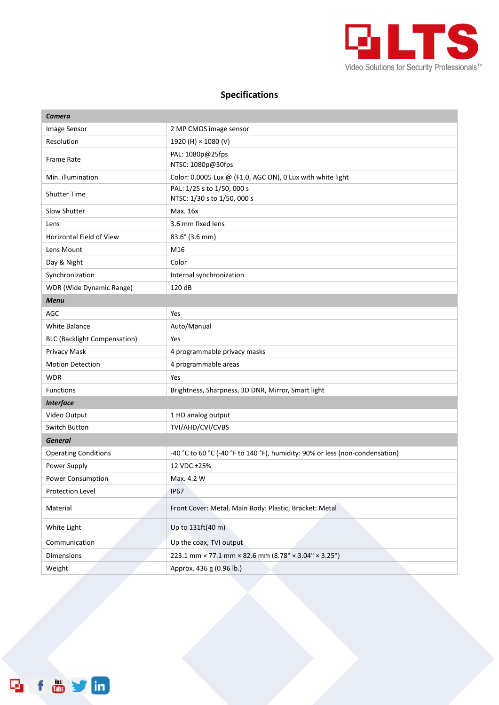

## **Specifications**

| Camera                              |                                                                              |
|-------------------------------------|------------------------------------------------------------------------------|
| Image Sensor                        | 2 MP CMOS image sensor                                                       |
| Resolution                          | 1920 (H) × 1080 (V)                                                          |
| Frame Rate                          | PAL: 1080p@25fps<br>NTSC: 1080p@30fps                                        |
| Min. illumination                   | Color: 0.0005 Lux @ (F1.0, AGC ON), 0 Lux with white light                   |
| <b>Shutter Time</b>                 | PAL: 1/25 s to 1/50, 000 s<br>NTSC: 1/30 s to 1/50, 000 s                    |
| Slow Shutter                        | Max. 16x                                                                     |
| Lens                                | 3.6 mm fixed lens                                                            |
| <b>Horizontal Field of View</b>     | 83.6° (3.6 mm)                                                               |
| Lens Mount                          | M16                                                                          |
| Day & Night                         | Color                                                                        |
| Synchronization                     | Internal synchronization                                                     |
| WDR (Wide Dynamic Range)            | 120 dB                                                                       |
| <b>Menu</b>                         |                                                                              |
| <b>AGC</b>                          | Yes                                                                          |
| White Balance                       | Auto/Manual                                                                  |
| <b>BLC (Backlight Compensation)</b> | Yes                                                                          |
| Privacy Mask                        | 4 programmable privacy masks                                                 |
| <b>Motion Detection</b>             | 4 programmable areas                                                         |
| <b>WDR</b>                          | Yes                                                                          |
| <b>Functions</b>                    | Brightness, Sharpness, 3D DNR, Mirror, Smart light                           |
| <b>Interface</b>                    |                                                                              |
| Video Output                        | 1 HD analog output                                                           |
| Switch Button                       | TVI/AHD/CVI/CVBS                                                             |
| <b>General</b>                      |                                                                              |
| <b>Operating Conditions</b>         | -40 °C to 60 °C (-40 °F to 140 °F), humidity: 90% or less (non-condensation) |
| Power Supply                        | 12 VDC ±25%                                                                  |
| Power Consumption                   | Max. 4.2 W                                                                   |
| Protection Level                    | IP67                                                                         |
| Material                            | Front Cover: Metal, Main Body: Plastic, Bracket: Metal                       |
| White Light                         | Up to 131ft(40 m)                                                            |
| Communication                       | Up the coax, TVI output                                                      |
| Dimensions                          | 223.1 mm × 77.1 mm × 82.6 mm (8.78" × 3.04" × 3.25")                         |
| Weight                              | Approx. 436 g (0.96 lb.)                                                     |

**Reform**